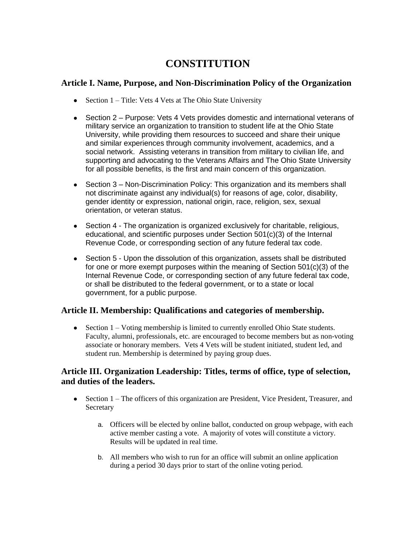# **CONSTITUTION**

### **Article I. Name, Purpose, and Non-Discrimination Policy of the Organization**

- Section 1 Title: Vets 4 Vets at The Ohio State University
- Section 2 Purpose: Vets 4 Vets provides domestic and international veterans of military service an organization to transition to student life at the Ohio State University, while providing them resources to succeed and share their unique and similar experiences through community involvement, academics, and a social network. Assisting veterans in transition from military to civilian life, and supporting and advocating to the Veterans Affairs and The Ohio State University for all possible benefits, is the first and main concern of this organization.
- Section 3 Non-Discrimination Policy: This organization and its members shall not discriminate against any individual(s) for reasons of age, color, disability, gender identity or expression, national origin, race, religion, sex, sexual orientation, or veteran status.
- Section 4 The organization is organized exclusively for charitable, religious, educational, and scientific purposes under Section 501(c)(3) of the Internal Revenue Code, or corresponding section of any future federal tax code.
- Section 5 Upon the dissolution of this organization, assets shall be distributed for one or more exempt purposes within the meaning of Section 501(c)(3) of the Internal Revenue Code, or corresponding section of any future federal tax code, or shall be distributed to the federal government, or to a state or local government, for a public purpose.

### **Article II. Membership: Qualifications and categories of membership.**

 $\bullet$  Section  $1 - \text{Voting membership}$  is limited to currently enrolled Ohio State students. Faculty, alumni, professionals, etc. are encouraged to become members but as non-voting associate or honorary members. Vets 4 Vets will be student initiated, student led, and student run. Membership is determined by paying group dues.

# **Article III. Organization Leadership: Titles, terms of office, type of selection, and duties of the leaders.**

- Section 1 The officers of this organization are President, Vice President, Treasurer, and Secretary
	- a. Officers will be elected by online ballot, conducted on group webpage, with each active member casting a vote. A majority of votes will constitute a victory. Results will be updated in real time.
	- b. All members who wish to run for an office will submit an online application during a period 30 days prior to start of the online voting period.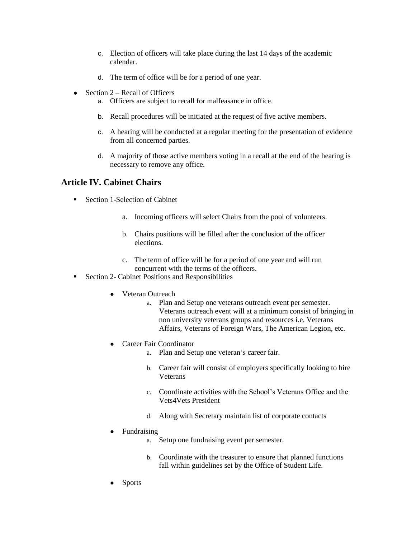- c. Election of officers will take place during the last 14 days of the academic calendar.
- d. The term of office will be for a period of one year.
- Section  $2 Recall$  of Officers
	- a. Officers are subject to recall for malfeasance in office.
	- b. Recall procedures will be initiated at the request of five active members.
	- c. A hearing will be conducted at a regular meeting for the presentation of evidence from all concerned parties.
	- d. A majority of those active members voting in a recall at the end of the hearing is necessary to remove any office.

# **Article IV. Cabinet Chairs**

- Section 1-Selection of Cabinet
	- a. Incoming officers will select Chairs from the pool of volunteers.
	- b. Chairs positions will be filled after the conclusion of the officer elections.
	- c. The term of office will be for a period of one year and will run
	- concurrent with the terms of the officers.
- Section 2- Cabinet Positions and Responsibilities
	- Veteran Outreach
		- a. Plan and Setup one veterans outreach event per semester. Veterans outreach event will at a minimum consist of bringing in non university veterans groups and resources i.e. Veterans Affairs, Veterans of Foreign Wars, The American Legion, etc.
	- Career Fair Coordinator
		- a. Plan and Setup one veteran's career fair.
		- b. Career fair will consist of employers specifically looking to hire Veterans
		- c. Coordinate activities with the School's Veterans Office and the Vets4Vets President
		- d. Along with Secretary maintain list of corporate contacts
	- **Fundraising** 
		- a. Setup one fundraising event per semester.
		- b. Coordinate with the treasurer to ensure that planned functions fall within guidelines set by the Office of Student Life.
	- **Sports**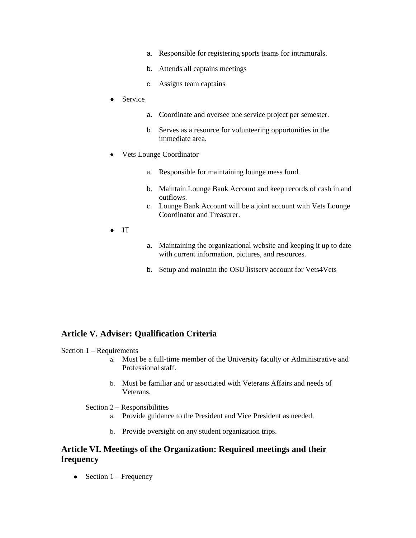- a. Responsible for registering sports teams for intramurals.
- b. Attends all captains meetings
- c. Assigns team captains
- **Service** 
	- a. Coordinate and oversee one service project per semester.
	- b. Serves as a resource for volunteering opportunities in the immediate area.
- Vets Lounge Coordinator
	- a. Responsible for maintaining lounge mess fund.
	- b. Maintain Lounge Bank Account and keep records of cash in and outflows.
	- c. Lounge Bank Account will be a joint account with Vets Lounge Coordinator and Treasurer.
- IT
- a. Maintaining the organizational website and keeping it up to date with current information, pictures, and resources.
- b. Setup and maintain the OSU listserv account for Vets4Vets

### **Article V. Adviser: Qualification Criteria**

#### Section 1 – Requirements

- a. Must be a full-time member of the University faculty or Administrative and Professional staff.
- b. Must be familiar and or associated with Veterans Affairs and needs of Veterans.

Section 2 – Responsibilities

- a. Provide guidance to the President and Vice President as needed.
- b. Provide oversight on any student organization trips.

### **Article VI. Meetings of the Organization: Required meetings and their frequency**

• Section  $1 -$  Frequency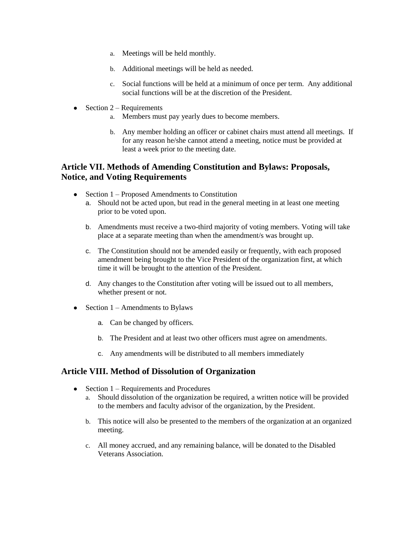- a. Meetings will be held monthly.
- b. Additional meetings will be held as needed.
- c. Social functions will be held at a minimum of once per term. Any additional social functions will be at the discretion of the President.
- $\bullet$  Section 2 Requirements
	- a. Members must pay yearly dues to become members.
	- b. Any member holding an officer or cabinet chairs must attend all meetings. If for any reason he/she cannot attend a meeting, notice must be provided at least a week prior to the meeting date.

# **Article VII. Methods of Amending Constitution and Bylaws: Proposals, Notice, and Voting Requirements**

- $\bullet$  Section 1 Proposed Amendments to Constitution
	- a. Should not be acted upon, but read in the general meeting in at least one meeting prior to be voted upon.
	- b. Amendments must receive a two-third majority of voting members. Voting will take place at a separate meeting than when the amendment/s was brought up.
	- c. The Constitution should not be amended easily or frequently, with each proposed amendment being brought to the Vice President of the organization first, at which time it will be brought to the attention of the President.
	- d. Any changes to the Constitution after voting will be issued out to all members, whether present or not.
- Section  $1 -$  Amendments to Bylaws
	- a. Can be changed by officers.
	- b. The President and at least two other officers must agree on amendments.
	- c. Any amendments will be distributed to all members immediately

### **Article VIII. Method of Dissolution of Organization**

- Section  $1 -$  Requirements and Procedures
	- a. Should dissolution of the organization be required, a written notice will be provided to the members and faculty advisor of the organization, by the President.
	- b. This notice will also be presented to the members of the organization at an organized meeting.
	- c. All money accrued, and any remaining balance, will be donated to the Disabled Veterans Association.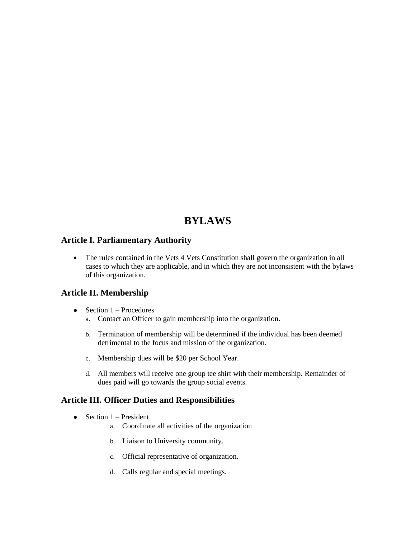# **BYLAWS**

# **Article I. Parliamentary Authority**

• The rules contained in the Vets 4 Vets Constitution shall govern the organization in all cases to which they are applicable, and in which they are not inconsistent with the bylaws of this organization.

### **Article II. Membership**

- $\bullet$  Section 1 Procedures
	- a. Contact an Officer to gain membership into the organization.
	- b. Termination of membership will be determined if the individual has been deemed detrimental to the focus and mission of the organization.
	- c. Membership dues will be \$20 per School Year.
	- d. All members will receive one group tee shirt with their membership. Remainder of dues paid will go towards the group social events.

### **Article III. Officer Duties and Responsibilities**

- Section  $1 -$  President
	- a. Coordinate all activities of the organization
	- b. Liaison to University community.
	- c. Official representative of organization.
	- d. Calls regular and special meetings.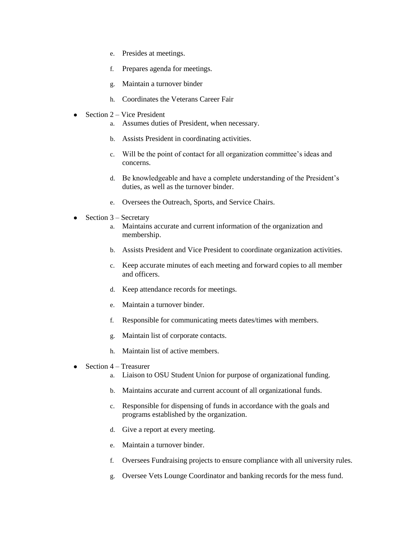- e. Presides at meetings.
- f. Prepares agenda for meetings.
- g. Maintain a turnover binder
- h. Coordinates the Veterans Career Fair
- Section  $2 -$  Vice President
	- a. Assumes duties of President, when necessary.
	- b. Assists President in coordinating activities.
	- c. Will be the point of contact for all organization committee's ideas and concerns.
	- d. Be knowledgeable and have a complete understanding of the President's duties, as well as the turnover binder.
	- e. Oversees the Outreach, Sports, and Service Chairs.
- Section  $3 -$  Secretary
	- a. Maintains accurate and current information of the organization and membership.
	- b. Assists President and Vice President to coordinate organization activities.
	- c. Keep accurate minutes of each meeting and forward copies to all member and officers.
	- d. Keep attendance records for meetings.
	- e. Maintain a turnover binder.
	- f. Responsible for communicating meets dates/times with members.
	- g. Maintain list of corporate contacts.
	- h. Maintain list of active members.
- Section  $4 T$ reasurer
	- a. Liaison to OSU Student Union for purpose of organizational funding.
	- b. Maintains accurate and current account of all organizational funds.
	- c. Responsible for dispensing of funds in accordance with the goals and programs established by the organization.
	- d. Give a report at every meeting.
	- e. Maintain a turnover binder.
	- f. Oversees Fundraising projects to ensure compliance with all university rules.
	- g. Oversee Vets Lounge Coordinator and banking records for the mess fund.